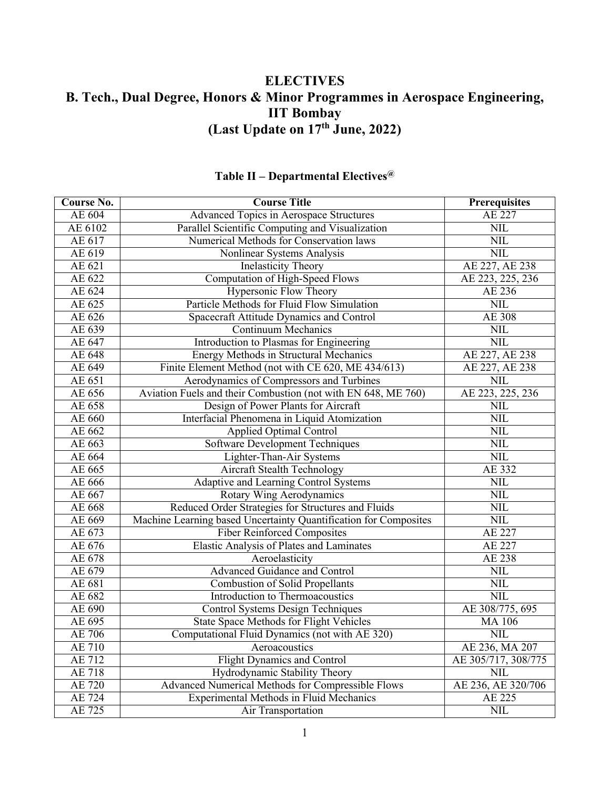## **ELECTIVES B. Tech., Dual Degree, Honors & Minor Programmes in Aerospace Engineering, IIT Bombay (Last Update on 17th June, 2022)**

| Course No.          | <b>Course Title</b>                                              | <b>Prerequisites</b>    |
|---------------------|------------------------------------------------------------------|-------------------------|
| AE 604              | <b>Advanced Topics in Aerospace Structures</b>                   | <b>AE 227</b>           |
| AE 6102             | Parallel Scientific Computing and Visualization                  | <b>NIL</b>              |
| AE 617              | Numerical Methods for Conservation laws                          | <b>NIL</b>              |
| AE 619              | Nonlinear Systems Analysis                                       | <b>NIL</b>              |
| AE 621              | <b>Inelasticity Theory</b>                                       | AE 227, AE 238          |
| AE 622              | <b>Computation of High-Speed Flows</b>                           | AE 223, 225, 236        |
| AE 624              | <b>Hypersonic Flow Theory</b>                                    | AE 236                  |
| AE 625              | Particle Methods for Fluid Flow Simulation                       | <b>NIL</b>              |
| AE 626              | Spacecraft Attitude Dynamics and Control                         | <b>AE 308</b>           |
| AE 639              | <b>Continuum Mechanics</b>                                       | <b>NIL</b>              |
| AE 647              | Introduction to Plasmas for Engineering                          | <b>NIL</b>              |
| AE 648              | <b>Energy Methods in Structural Mechanics</b>                    | AE 227, AE 238          |
| AE 649              | Finite Element Method (not with CE 620, ME 434/613)              | AE 227, AE 238          |
| AE 651              | Aerodynamics of Compressors and Turbines                         | <b>NIL</b>              |
| AE $65\overline{6}$ | Aviation Fuels and their Combustion (not with EN 648, ME 760)    | AE 223, 225, 236        |
| AE 658              | Design of Power Plants for Aircraft                              | <b>NIL</b>              |
| AE 660              | Interfacial Phenomena in Liquid Atomization                      | <b>NIL</b>              |
| AE 662              | <b>Applied Optimal Control</b>                                   | <b>NIL</b>              |
| AE 663              | <b>Software Development Techniques</b>                           | <b>NIL</b>              |
| AE 664              | Lighter-Than-Air Systems                                         | <b>NIL</b>              |
| AE 665              | Aircraft Stealth Technology                                      | <b>AE 332</b>           |
| AE 666              | Adaptive and Learning Control Systems                            | <b>NIL</b>              |
| AE 667              | Rotary Wing Aerodynamics                                         | <b>NIL</b>              |
| AE 668              | Reduced Order Strategies for Structures and Fluids               | <b>NIL</b>              |
| AE 669              | Machine Learning based Uncertainty Quantification for Composites | <b>NIL</b>              |
| AE 673              | <b>Fiber Reinforced Composites</b>                               | <b>AE 227</b>           |
| AE 676              | Elastic Analysis of Plates and Laminates                         | <b>AE 227</b>           |
| AE 678              | Aeroelasticity                                                   | AE 238                  |
| AE 679              | <b>Advanced Guidance and Control</b>                             | <b>NIL</b>              |
| <b>AE</b> 681       | <b>Combustion of Solid Propellants</b>                           | <b>NIL</b>              |
| AE 682              | Introduction to Thermoacoustics                                  | <b>NIL</b>              |
| AE 690              | <b>Control Systems Design Techniques</b>                         | AE 308/775, 695         |
| AE 695              | State Space Methods for Flight Vehicles                          | <b>MA106</b>            |
| <b>AE 706</b>       | Computational Fluid Dynamics (not with AE 320)                   | <b>NIL</b>              |
| <b>AE 710</b>       | Aeroacoustics                                                    | AE 236, MA 207          |
| AE 712              | <b>Flight Dynamics and Control</b>                               | AE 305/717, 308/775     |
| <b>AE</b> 718       | Hydrodynamic Stability Theory                                    | <b>NIL</b>              |
| <b>AE 720</b>       | Advanced Numerical Methods for Compressible Flows                | AE 236, AE 320/706      |
| <b>AE</b> 724       | <b>Experimental Methods in Fluid Mechanics</b>                   | AE 225                  |
| AE 725              | <b>Air Transportation</b>                                        | $\overline{\text{NIL}}$ |

## **Table II – Departmental Electives@**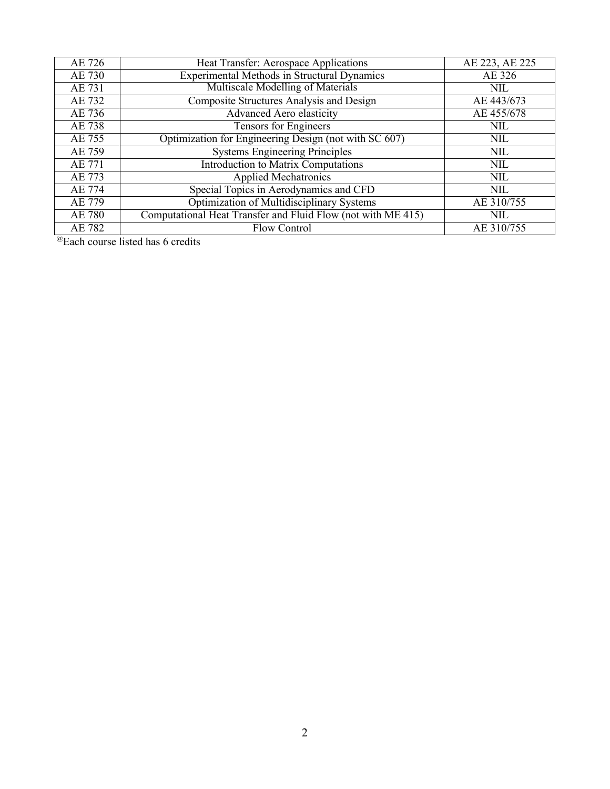| AE 726        | Heat Transfer: Aerospace Applications                        | AE 223, AE 225 |
|---------------|--------------------------------------------------------------|----------------|
| AE 730        | <b>Experimental Methods in Structural Dynamics</b>           | AE 326         |
| AE 731        | Multiscale Modelling of Materials                            | <b>NIL</b>     |
| AE 732        | <b>Composite Structures Analysis and Design</b>              | AE 443/673     |
| AE 736        | Advanced Aero elasticity                                     | AE 455/678     |
| AE 738        | <b>Tensors for Engineers</b>                                 | <b>NIL</b>     |
| AE 755        | Optimization for Engineering Design (not with SC 607)        | <b>NIL</b>     |
| AE 759        | <b>Systems Engineering Principles</b>                        | <b>NIL</b>     |
| AE 771        | Introduction to Matrix Computations                          | <b>NIL</b>     |
| AE 773        | <b>Applied Mechatronics</b>                                  | <b>NIL</b>     |
| AE 774        | Special Topics in Aerodynamics and CFD                       | <b>NIL</b>     |
| AE 779        | Optimization of Multidisciplinary Systems                    | AE 310/755     |
| <b>AE 780</b> | Computational Heat Transfer and Fluid Flow (not with ME 415) | <b>NIL</b>     |
| AE 782        | <b>Flow Control</b>                                          | AE 310/755     |

@Each course listed has 6 credits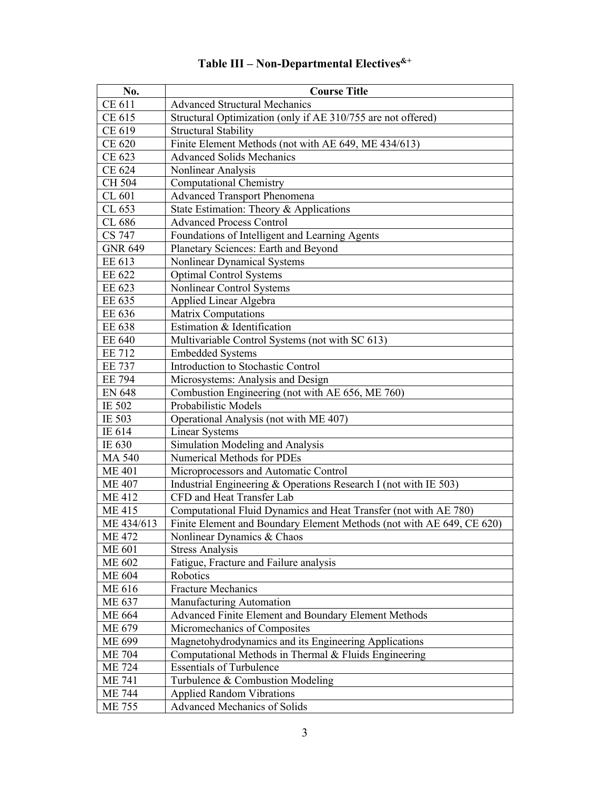| No.            | <b>Course Title</b>                                                   |
|----------------|-----------------------------------------------------------------------|
| CE 611         | <b>Advanced Structural Mechanics</b>                                  |
| CE 615         | Structural Optimization (only if AE 310/755 are not offered)          |
| CE 619         | <b>Structural Stability</b>                                           |
| <b>CE 620</b>  | Finite Element Methods (not with AE 649, ME 434/613)                  |
| CE 623         | <b>Advanced Solids Mechanics</b>                                      |
| CE 624         | Nonlinear Analysis                                                    |
| CH 504         | <b>Computational Chemistry</b>                                        |
| CL 601         | <b>Advanced Transport Phenomena</b>                                   |
| CL 653         | State Estimation: Theory & Applications                               |
| CL 686         | <b>Advanced Process Control</b>                                       |
| CS 747         | Foundations of Intelligent and Learning Agents                        |
| <b>GNR 649</b> | Planetary Sciences: Earth and Beyond                                  |
| EE 613         | Nonlinear Dynamical Systems                                           |
| EE 622         | <b>Optimal Control Systems</b>                                        |
| EE 623         | Nonlinear Control Systems                                             |
| EE 635         | Applied Linear Algebra                                                |
| EE 636         | <b>Matrix Computations</b>                                            |
| EE 638         | Estimation & Identification                                           |
| EE 640         | Multivariable Control Systems (not with SC 613)                       |
| <b>EE 712</b>  | <b>Embedded Systems</b>                                               |
| <b>EE 737</b>  | Introduction to Stochastic Control                                    |
| <b>EE 794</b>  | Microsystems: Analysis and Design                                     |
| <b>EN 648</b>  | Combustion Engineering (not with AE 656, ME 760)                      |
| IE 502         | Probabilistic Models                                                  |
| IE 503         | Operational Analysis (not with ME 407)                                |
| IE 614         | Linear Systems                                                        |
| IE 630         | Simulation Modeling and Analysis                                      |
| <b>MA 540</b>  | Numerical Methods for PDEs                                            |
| <b>ME 401</b>  | Microprocessors and Automatic Control                                 |
| <b>ME 407</b>  | Industrial Engineering & Operations Research I (not with IE 503)      |
| <b>ME412</b>   | CFD and Heat Transfer Lab                                             |
| <b>ME415</b>   | Computational Fluid Dynamics and Heat Transfer (not with AE 780)      |
| ME 434/613     | Finite Element and Boundary Element Methods (not with AE 649, CE 620) |
| <b>ME 472</b>  | Nonlinear Dynamics & Chaos                                            |
| <b>ME 601</b>  | <b>Stress Analysis</b>                                                |
| <b>ME 602</b>  | Fatigue, Fracture and Failure analysis                                |
| ME 604         | Robotics                                                              |
| ME 616         | <b>Fracture Mechanics</b>                                             |
| ME 637         | Manufacturing Automation                                              |
| ME 664         | Advanced Finite Element and Boundary Element Methods                  |
| ME 679         | Micromechanics of Composites                                          |
| ME 699         | Magnetohydrodynamics and its Engineering Applications                 |
| <b>ME 704</b>  | Computational Methods in Thermal & Fluids Engineering                 |
| <b>ME 724</b>  | <b>Essentials of Turbulence</b>                                       |
| <b>ME 741</b>  | Turbulence & Combustion Modeling                                      |
| <b>ME 744</b>  | <b>Applied Random Vibrations</b>                                      |
| ME 755         | Advanced Mechanics of Solids                                          |

## **Table III – Non-Departmental Electives&+**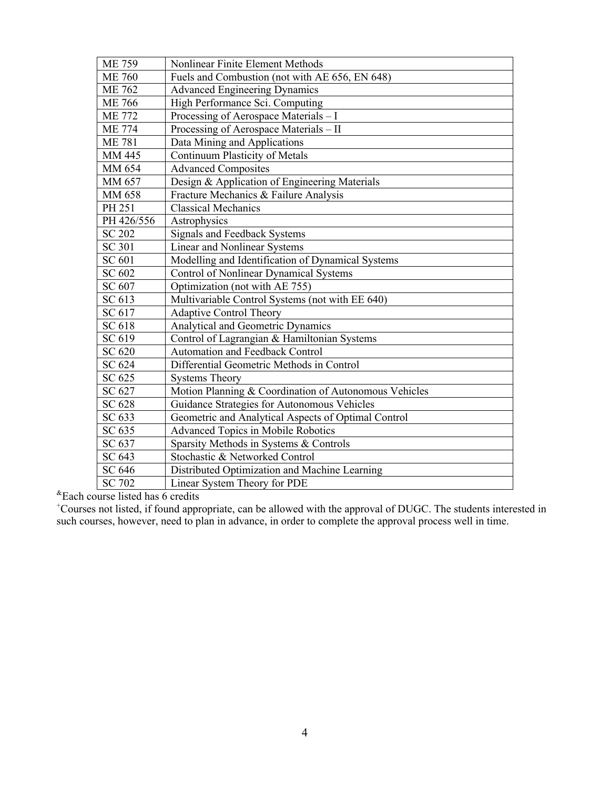| <b>ME 759</b> | Nonlinear Finite Element Methods                      |
|---------------|-------------------------------------------------------|
| <b>ME 760</b> | Fuels and Combustion (not with AE 656, EN 648)        |
| <b>ME 762</b> | <b>Advanced Engineering Dynamics</b>                  |
| <b>ME 766</b> | High Performance Sci. Computing                       |
| <b>ME 772</b> | Processing of Aerospace Materials - I                 |
| <b>ME 774</b> | Processing of Aerospace Materials - II                |
| <b>ME 781</b> | Data Mining and Applications                          |
| MM 445        | <b>Continuum Plasticity of Metals</b>                 |
| MM 654        | <b>Advanced Composites</b>                            |
| MM 657        | Design & Application of Engineering Materials         |
| MM 658        | Fracture Mechanics & Failure Analysis                 |
| PH 251        | <b>Classical Mechanics</b>                            |
| PH 426/556    | Astrophysics                                          |
| <b>SC 202</b> | <b>Signals and Feedback Systems</b>                   |
| <b>SC 301</b> | <b>Linear and Nonlinear Systems</b>                   |
| SC 601        | Modelling and Identification of Dynamical Systems     |
| SC 602        | Control of Nonlinear Dynamical Systems                |
| SC 607        | Optimization (not with AE 755)                        |
| SC 613        | Multivariable Control Systems (not with EE 640)       |
| SC 617        | <b>Adaptive Control Theory</b>                        |
| SC 618        | Analytical and Geometric Dynamics                     |
| SC 619        | Control of Lagrangian & Hamiltonian Systems           |
| <b>SC 620</b> | Automation and Feedback Control                       |
| SC 624        | Differential Geometric Methods in Control             |
| SC 625        | <b>Systems Theory</b>                                 |
| SC 627        | Motion Planning & Coordination of Autonomous Vehicles |
| SC 628        | Guidance Strategies for Autonomous Vehicles           |
| SC 633        | Geometric and Analytical Aspects of Optimal Control   |
| SC 635        | <b>Advanced Topics in Mobile Robotics</b>             |
| SC 637        | Sparsity Methods in Systems & Controls                |
| SC 643        | Stochastic & Networked Control                        |
| SC 646        | Distributed Optimization and Machine Learning         |
| <b>SC 702</b> | Linear System Theory for PDE                          |

&Each course listed has 6 credits

+ Courses not listed, if found appropriate, can be allowed with the approval of DUGC. The students interested in such courses, however, need to plan in advance, in order to complete the approval process well in time.